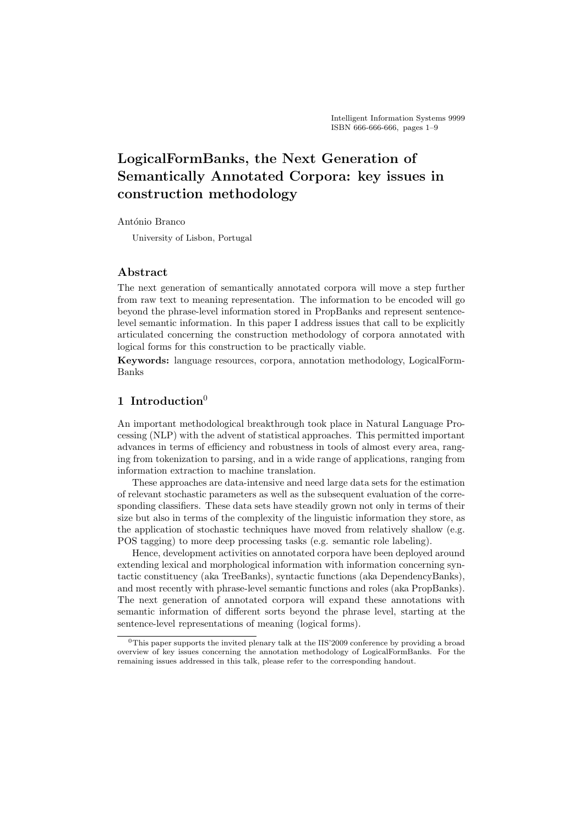# LogicalFormBanks, the Next Generation of Semantically Annotated Corpora: key issues in construction methodology

#### António Branco

University of Lisbon, Portugal

### Abstract

The next generation of semantically annotated corpora will move a step further from raw text to meaning representation. The information to be encoded will go beyond the phrase-level information stored in PropBanks and represent sentencelevel semantic information. In this paper I address issues that call to be explicitly articulated concerning the construction methodology of corpora annotated with logical forms for this construction to be practically viable.

Keywords: language resources, corpora, annotation methodology, LogicalForm-Banks

# 1 Introduction $0$

An important methodological breakthrough took place in Natural Language Processing (NLP) with the advent of statistical approaches. This permitted important advances in terms of efficiency and robustness in tools of almost every area, ranging from tokenization to parsing, and in a wide range of applications, ranging from information extraction to machine translation.

These approaches are data-intensive and need large data sets for the estimation of relevant stochastic parameters as well as the subsequent evaluation of the corresponding classifiers. These data sets have steadily grown not only in terms of their size but also in terms of the complexity of the linguistic information they store, as the application of stochastic techniques have moved from relatively shallow (e.g. POS tagging) to more deep processing tasks (e.g. semantic role labeling).

Hence, development activities on annotated corpora have been deployed around extending lexical and morphological information with information concerning syntactic constituency (aka TreeBanks), syntactic functions (aka DependencyBanks), and most recently with phrase-level semantic functions and roles (aka PropBanks). The next generation of annotated corpora will expand these annotations with semantic information of different sorts beyond the phrase level, starting at the sentence-level representations of meaning (logical forms).

<sup>&</sup>lt;sup>0</sup>This paper supports the invited plenary talk at the IIS'2009 conference by providing a broad overview of key issues concerning the annotation methodology of LogicalFormBanks. For the remaining issues addressed in this talk, please refer to the corresponding handout.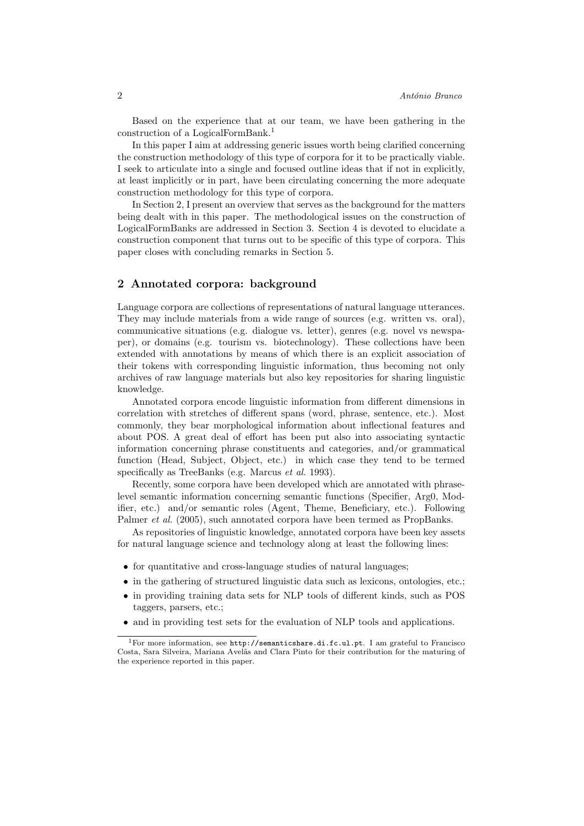Based on the experience that at our team, we have been gathering in the construction of a LogicalFormBank.<sup>1</sup>

In this paper I aim at addressing generic issues worth being clarified concerning the construction methodology of this type of corpora for it to be practically viable. I seek to articulate into a single and focused outline ideas that if not in explicitly, at least implicitly or in part, have been circulating concerning the more adequate construction methodology for this type of corpora.

In Section 2, I present an overview that serves as the background for the matters being dealt with in this paper. The methodological issues on the construction of LogicalFormBanks are addressed in Section 3. Section 4 is devoted to elucidate a construction component that turns out to be specific of this type of corpora. This paper closes with concluding remarks in Section 5.

### 2 Annotated corpora: background

Language corpora are collections of representations of natural language utterances. They may include materials from a wide range of sources (e.g. written vs. oral), communicative situations (e.g. dialogue vs. letter), genres (e.g. novel vs newspaper), or domains (e.g. tourism vs. biotechnology). These collections have been extended with annotations by means of which there is an explicit association of their tokens with corresponding linguistic information, thus becoming not only archives of raw language materials but also key repositories for sharing linguistic knowledge.

Annotated corpora encode linguistic information from different dimensions in correlation with stretches of different spans (word, phrase, sentence, etc.). Most commonly, they bear morphological information about inflectional features and about POS. A great deal of effort has been put also into associating syntactic information concerning phrase constituents and categories, and/or grammatical function (Head, Subject, Object, etc.) in which case they tend to be termed specifically as TreeBanks (e.g. Marcus et al. 1993).

Recently, some corpora have been developed which are annotated with phraselevel semantic information concerning semantic functions (Specifier, Arg0, Modifier, etc.) and/or semantic roles (Agent, Theme, Beneficiary, etc.). Following Palmer et al. (2005), such annotated corpora have been termed as PropBanks.

As repositories of linguistic knowledge, annotated corpora have been key assets for natural language science and technology along at least the following lines:

- for quantitative and cross-language studies of natural languages;
- in the gathering of structured linguistic data such as lexicons, ontologies, etc.;
- in providing training data sets for NLP tools of different kinds, such as POS taggers, parsers, etc.;
- and in providing test sets for the evaluation of NLP tools and applications.

<sup>1</sup>For more information, see http://semanticshare.di.fc.ul.pt. I am grateful to Francisco Costa, Sara Silveira, Mariana Avelãs and Clara Pinto for their contribution for the maturing of the experience reported in this paper.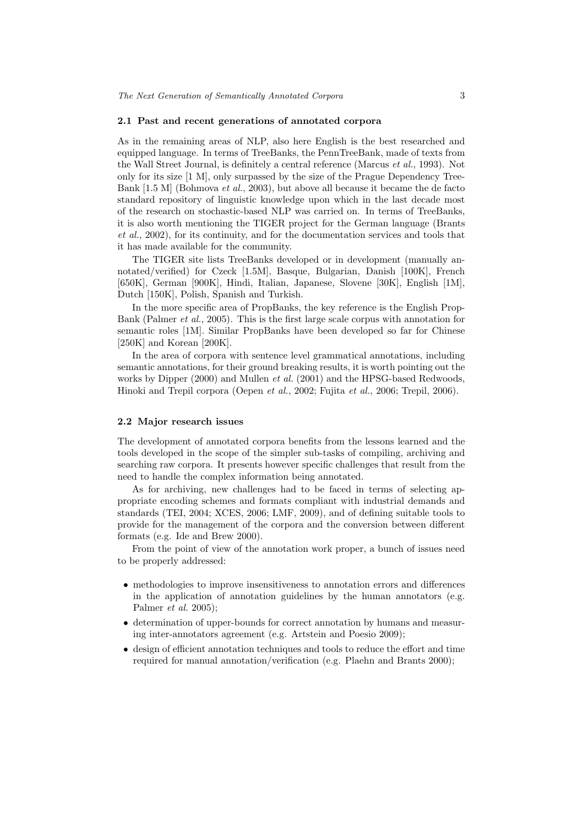#### 2.1 Past and recent generations of annotated corpora

As in the remaining areas of NLP, also here English is the best researched and equipped language. In terms of TreeBanks, the PennTreeBank, made of texts from the Wall Street Journal, is definitely a central reference (Marcus et al., 1993). Not only for its size [1 M], only surpassed by the size of the Prague Dependency Tree-Bank [1.5 M] (Bohmova et al., 2003), but above all because it became the de facto standard repository of linguistic knowledge upon which in the last decade most of the research on stochastic-based NLP was carried on. In terms of TreeBanks, it is also worth mentioning the TIGER project for the German language (Brants et al., 2002), for its continuity, and for the documentation services and tools that it has made available for the community.

The TIGER site lists TreeBanks developed or in development (manually annotated/verified) for Czeck [1.5M], Basque, Bulgarian, Danish [100K], French [650K], German [900K], Hindi, Italian, Japanese, Slovene [30K], English [1M], Dutch [150K], Polish, Spanish and Turkish.

In the more specific area of PropBanks, the key reference is the English Prop-Bank (Palmer et al., 2005). This is the first large scale corpus with annotation for semantic roles [1M]. Similar PropBanks have been developed so far for Chinese [250K] and Korean [200K].

In the area of corpora with sentence level grammatical annotations, including semantic annotations, for their ground breaking results, it is worth pointing out the works by Dipper (2000) and Mullen *et al.* (2001) and the HPSG-based Redwoods, Hinoki and Trepil corpora (Oepen et al., 2002; Fujita et al., 2006; Trepil, 2006).

#### 2.2 Major research issues

The development of annotated corpora benefits from the lessons learned and the tools developed in the scope of the simpler sub-tasks of compiling, archiving and searching raw corpora. It presents however specific challenges that result from the need to handle the complex information being annotated.

As for archiving, new challenges had to be faced in terms of selecting appropriate encoding schemes and formats compliant with industrial demands and standards (TEI, 2004; XCES, 2006; LMF, 2009), and of defining suitable tools to provide for the management of the corpora and the conversion between different formats (e.g. Ide and Brew 2000).

From the point of view of the annotation work proper, a bunch of issues need to be properly addressed:

- methodologies to improve insensitiveness to annotation errors and differences in the application of annotation guidelines by the human annotators (e.g. Palmer et al. 2005);
- determination of upper-bounds for correct annotation by humans and measuring inter-annotators agreement (e.g. Artstein and Poesio 2009);
- design of efficient annotation techniques and tools to reduce the effort and time required for manual annotation/verification (e.g. Plaehn and Brants 2000);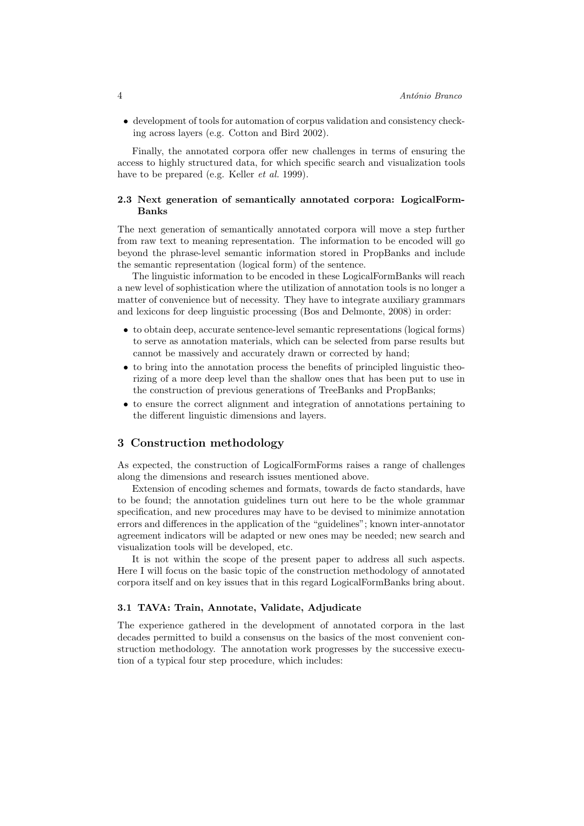• development of tools for automation of corpus validation and consistency checking across layers (e.g. Cotton and Bird 2002).

Finally, the annotated corpora offer new challenges in terms of ensuring the access to highly structured data, for which specific search and visualization tools have to be prepared (e.g. Keller *et al.* 1999).

#### 2.3 Next generation of semantically annotated corpora: LogicalForm-Banks

The next generation of semantically annotated corpora will move a step further from raw text to meaning representation. The information to be encoded will go beyond the phrase-level semantic information stored in PropBanks and include the semantic representation (logical form) of the sentence.

The linguistic information to be encoded in these LogicalFormBanks will reach a new level of sophistication where the utilization of annotation tools is no longer a matter of convenience but of necessity. They have to integrate auxiliary grammars and lexicons for deep linguistic processing (Bos and Delmonte, 2008) in order:

- to obtain deep, accurate sentence-level semantic representations (logical forms) to serve as annotation materials, which can be selected from parse results but cannot be massively and accurately drawn or corrected by hand;
- to bring into the annotation process the benefits of principled linguistic theorizing of a more deep level than the shallow ones that has been put to use in the construction of previous generations of TreeBanks and PropBanks;
- to ensure the correct alignment and integration of annotations pertaining to the different linguistic dimensions and layers.

### 3 Construction methodology

As expected, the construction of LogicalFormForms raises a range of challenges along the dimensions and research issues mentioned above.

Extension of encoding schemes and formats, towards de facto standards, have to be found; the annotation guidelines turn out here to be the whole grammar specification, and new procedures may have to be devised to minimize annotation errors and differences in the application of the "guidelines"; known inter-annotator agreement indicators will be adapted or new ones may be needed; new search and visualization tools will be developed, etc.

It is not within the scope of the present paper to address all such aspects. Here I will focus on the basic topic of the construction methodology of annotated corpora itself and on key issues that in this regard LogicalFormBanks bring about.

#### 3.1 TAVA: Train, Annotate, Validate, Adjudicate

The experience gathered in the development of annotated corpora in the last decades permitted to build a consensus on the basics of the most convenient construction methodology. The annotation work progresses by the successive execution of a typical four step procedure, which includes: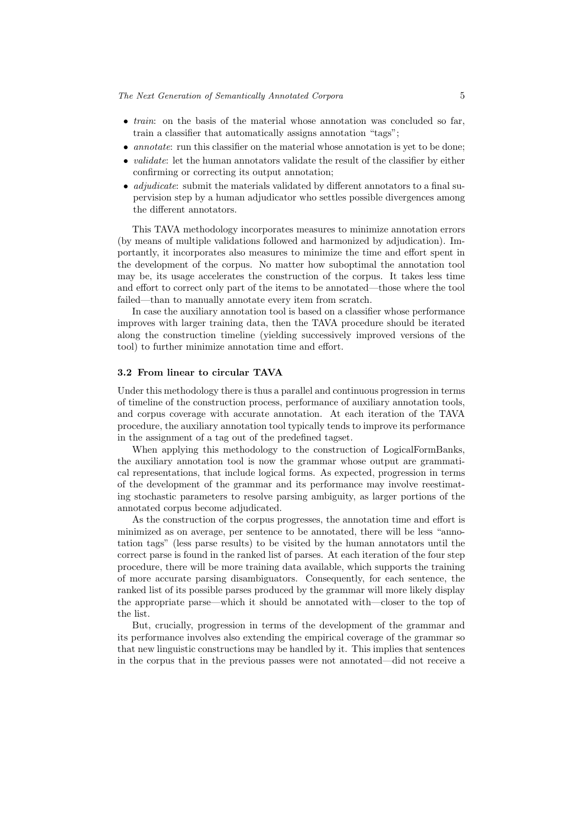- *train*: on the basis of the material whose annotation was concluded so far, train a classifier that automatically assigns annotation "tags";
- annotate: run this classifier on the material whose annotation is yet to be done;
- *validate*: let the human annotators validate the result of the classifier by either confirming or correcting its output annotation;
- *adjudicate*: submit the materials validated by different annotators to a final supervision step by a human adjudicator who settles possible divergences among the different annotators.

This TAVA methodology incorporates measures to minimize annotation errors (by means of multiple validations followed and harmonized by adjudication). Importantly, it incorporates also measures to minimize the time and effort spent in the development of the corpus. No matter how suboptimal the annotation tool may be, its usage accelerates the construction of the corpus. It takes less time and effort to correct only part of the items to be annotated—those where the tool failed—than to manually annotate every item from scratch.

In case the auxiliary annotation tool is based on a classifier whose performance improves with larger training data, then the TAVA procedure should be iterated along the construction timeline (yielding successively improved versions of the tool) to further minimize annotation time and effort.

#### 3.2 From linear to circular TAVA

Under this methodology there is thus a parallel and continuous progression in terms of timeline of the construction process, performance of auxiliary annotation tools, and corpus coverage with accurate annotation. At each iteration of the TAVA procedure, the auxiliary annotation tool typically tends to improve its performance in the assignment of a tag out of the predefined tagset.

When applying this methodology to the construction of LogicalFormBanks, the auxiliary annotation tool is now the grammar whose output are grammatical representations, that include logical forms. As expected, progression in terms of the development of the grammar and its performance may involve reestimating stochastic parameters to resolve parsing ambiguity, as larger portions of the annotated corpus become adjudicated.

As the construction of the corpus progresses, the annotation time and effort is minimized as on average, per sentence to be annotated, there will be less "annotation tags" (less parse results) to be visited by the human annotators until the correct parse is found in the ranked list of parses. At each iteration of the four step procedure, there will be more training data available, which supports the training of more accurate parsing disambiguators. Consequently, for each sentence, the ranked list of its possible parses produced by the grammar will more likely display the appropriate parse—which it should be annotated with—closer to the top of the list.

But, crucially, progression in terms of the development of the grammar and its performance involves also extending the empirical coverage of the grammar so that new linguistic constructions may be handled by it. This implies that sentences in the corpus that in the previous passes were not annotated—did not receive a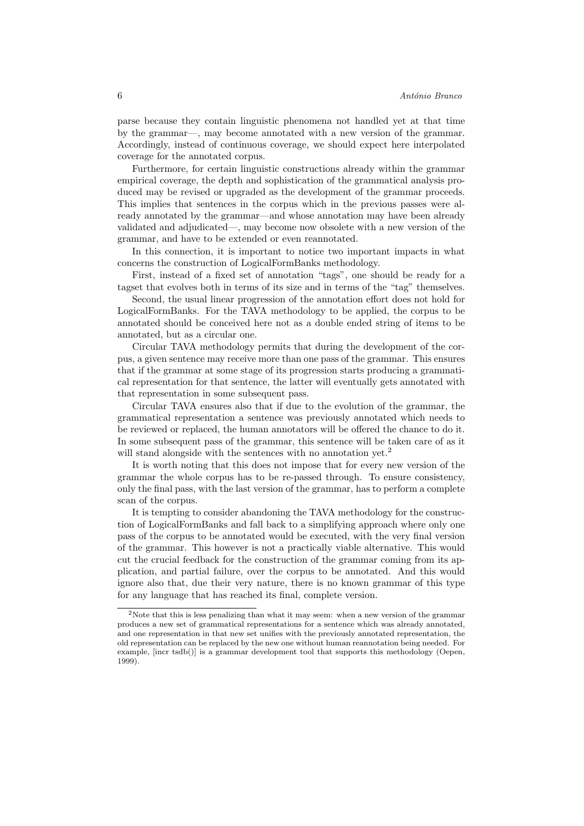parse because they contain linguistic phenomena not handled yet at that time by the grammar—, may become annotated with a new version of the grammar. Accordingly, instead of continuous coverage, we should expect here interpolated coverage for the annotated corpus.

Furthermore, for certain linguistic constructions already within the grammar empirical coverage, the depth and sophistication of the grammatical analysis produced may be revised or upgraded as the development of the grammar proceeds. This implies that sentences in the corpus which in the previous passes were already annotated by the grammar—and whose annotation may have been already validated and adjudicated—, may become now obsolete with a new version of the grammar, and have to be extended or even reannotated.

In this connection, it is important to notice two important impacts in what concerns the construction of LogicalFormBanks methodology.

First, instead of a fixed set of annotation "tags", one should be ready for a tagset that evolves both in terms of its size and in terms of the "tag" themselves.

Second, the usual linear progression of the annotation effort does not hold for LogicalFormBanks. For the TAVA methodology to be applied, the corpus to be annotated should be conceived here not as a double ended string of items to be annotated, but as a circular one.

Circular TAVA methodology permits that during the development of the corpus, a given sentence may receive more than one pass of the grammar. This ensures that if the grammar at some stage of its progression starts producing a grammatical representation for that sentence, the latter will eventually gets annotated with that representation in some subsequent pass.

Circular TAVA ensures also that if due to the evolution of the grammar, the grammatical representation a sentence was previously annotated which needs to be reviewed or replaced, the human annotators will be offered the chance to do it. In some subsequent pass of the grammar, this sentence will be taken care of as it will stand alongside with the sentences with no annotation yet.<sup>2</sup>

It is worth noting that this does not impose that for every new version of the grammar the whole corpus has to be re-passed through. To ensure consistency, only the final pass, with the last version of the grammar, has to perform a complete scan of the corpus.

It is tempting to consider abandoning the TAVA methodology for the construction of LogicalFormBanks and fall back to a simplifying approach where only one pass of the corpus to be annotated would be executed, with the very final version of the grammar. This however is not a practically viable alternative. This would cut the crucial feedback for the construction of the grammar coming from its application, and partial failure, over the corpus to be annotated. And this would ignore also that, due their very nature, there is no known grammar of this type for any language that has reached its final, complete version.

<sup>2</sup>Note that this is less penalizing than what it may seem: when a new version of the grammar produces a new set of grammatical representations for a sentence which was already annotated, and one representation in that new set unifies with the previously annotated representation, the old representation can be replaced by the new one without human reannotation being needed. For example, [incr tsdb()] is a grammar development tool that supports this methodology (Oepen, 1999).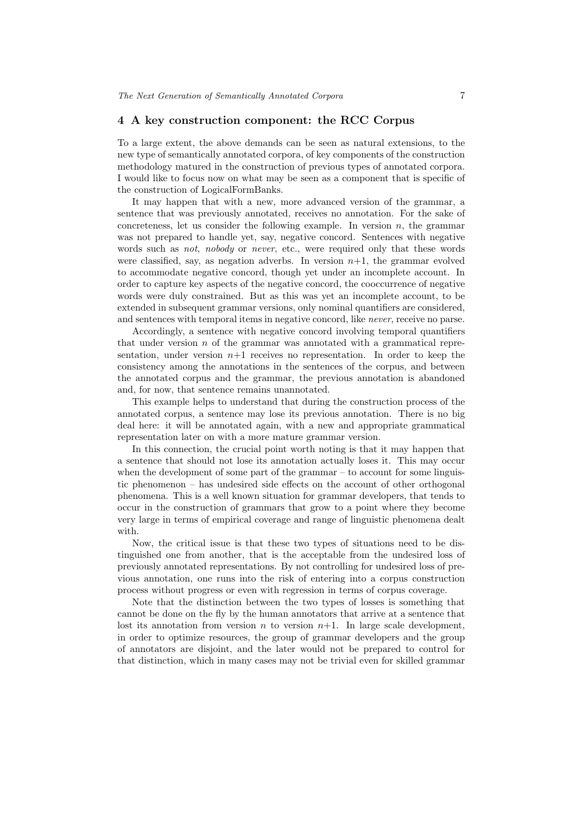## 4 A key construction component: the RCC Corpus

To a large extent, the above demands can be seen as natural extensions, to the new type of semantically annotated corpora, of key components of the construction methodology matured in the construction of previous types of annotated corpora. I would like to focus now on what may be seen as a component that is specific of the construction of LogicalFormBanks.

It may happen that with a new, more advanced version of the grammar, a sentence that was previously annotated, receives no annotation. For the sake of concreteness, let us consider the following example. In version  $n$ , the grammar was not prepared to handle yet, say, negative concord. Sentences with negative words such as *not*, *nobody* or *never*, etc., were required only that these words were classified, say, as negation adverbs. In version  $n+1$ , the grammar evolved to accommodate negative concord, though yet under an incomplete account. In order to capture key aspects of the negative concord, the cooccurrence of negative words were duly constrained. But as this was yet an incomplete account, to be extended in subsequent grammar versions, only nominal quantifiers are considered, and sentences with temporal items in negative concord, like never, receive no parse.

Accordingly, a sentence with negative concord involving temporal quantifiers that under version  $n$  of the grammar was annotated with a grammatical representation, under version  $n+1$  receives no representation. In order to keep the consistency among the annotations in the sentences of the corpus, and between the annotated corpus and the grammar, the previous annotation is abandoned and, for now, that sentence remains unannotated.

This example helps to understand that during the construction process of the annotated corpus, a sentence may lose its previous annotation. There is no big deal here: it will be annotated again, with a new and appropriate grammatical representation later on with a more mature grammar version.

In this connection, the crucial point worth noting is that it may happen that a sentence that should not lose its annotation actually loses it. This may occur when the development of some part of the grammar – to account for some linguistic phenomenon – has undesired side effects on the account of other orthogonal phenomena. This is a well known situation for grammar developers, that tends to occur in the construction of grammars that grow to a point where they become very large in terms of empirical coverage and range of linguistic phenomena dealt with.

Now, the critical issue is that these two types of situations need to be distinguished one from another, that is the acceptable from the undesired loss of previously annotated representations. By not controlling for undesired loss of previous annotation, one runs into the risk of entering into a corpus construction process without progress or even with regression in terms of corpus coverage.

Note that the distinction between the two types of losses is something that cannot be done on the fly by the human annotators that arrive at a sentence that lost its annotation from version  $n$  to version  $n+1$ . In large scale development, in order to optimize resources, the group of grammar developers and the group of annotators are disjoint, and the later would not be prepared to control for that distinction, which in many cases may not be trivial even for skilled grammar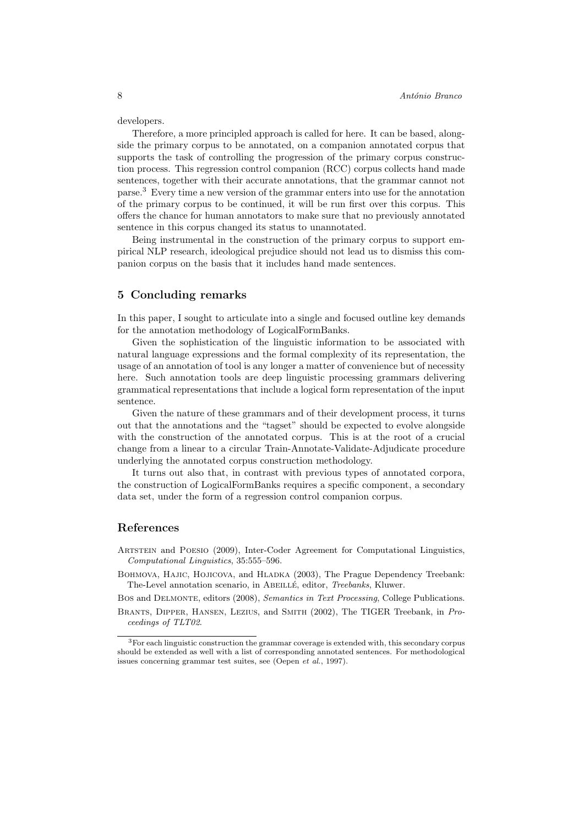developers.

Therefore, a more principled approach is called for here. It can be based, alongside the primary corpus to be annotated, on a companion annotated corpus that supports the task of controlling the progression of the primary corpus construction process. This regression control companion (RCC) corpus collects hand made sentences, together with their accurate annotations, that the grammar cannot not parse.<sup>3</sup> Every time a new version of the grammar enters into use for the annotation of the primary corpus to be continued, it will be run first over this corpus. This offers the chance for human annotators to make sure that no previously annotated sentence in this corpus changed its status to unannotated.

Being instrumental in the construction of the primary corpus to support empirical NLP research, ideological prejudice should not lead us to dismiss this companion corpus on the basis that it includes hand made sentences.

#### 5 Concluding remarks

In this paper, I sought to articulate into a single and focused outline key demands for the annotation methodology of LogicalFormBanks.

Given the sophistication of the linguistic information to be associated with natural language expressions and the formal complexity of its representation, the usage of an annotation of tool is any longer a matter of convenience but of necessity here. Such annotation tools are deep linguistic processing grammars delivering grammatical representations that include a logical form representation of the input sentence.

Given the nature of these grammars and of their development process, it turns out that the annotations and the "tagset" should be expected to evolve alongside with the construction of the annotated corpus. This is at the root of a crucial change from a linear to a circular Train-Annotate-Validate-Adjudicate procedure underlying the annotated corpus construction methodology.

It turns out also that, in contrast with previous types of annotated corpora, the construction of LogicalFormBanks requires a specific component, a secondary data set, under the form of a regression control companion corpus.

#### References

Artstein and Poesio (2009), Inter-Coder Agreement for Computational Linguistics, Computational Linguistics, 35:555–596.

BOHMOVA, HAJIC, HOJICOVA, and HLADKA (2003), The Prague Dependency Treebank: The-Level annotation scenario, in ABEILLÉ, editor, Treebanks, Kluwer.

Bos and Delmonte, editors (2008), Semantics in Text Processing, College Publications. Brants, Dipper, Hansen, Lezius, and Smith (2002), The TIGER Treebank, in Proceedings of TLT02.

<sup>3</sup>For each linguistic construction the grammar coverage is extended with, this secondary corpus should be extended as well with a list of corresponding annotated sentences. For methodological issues concerning grammar test suites, see (Oepen et al., 1997).